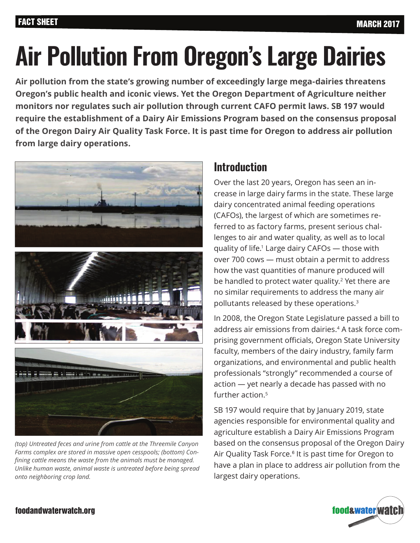# **Air Pollution From Oregon's Large Dairies**

**Air pollution from the state's growing number of exceedingly large mega-dairies threatens Oregon's public health and iconic views. Yet the Oregon Department of Agriculture neither monitors nor regulates such air pollution through current CAFO permit laws. SB 197 would require the establishment of a Dairy Air Emissions Program based on the consensus proposal of the Oregon Dairy Air Quality Task Force. It is past time for Oregon to address air pollution from large dairy operations.**



*(top) Untreated feces and urine from cattle at the Threemile Canyon Farms complex are stored in massive open cesspools; (bottom) Con*fining cattle means the waste from the animals must be managed. Unlike human waste, animal waste is untreated before being spread onto neighboring crop land.

### **Introduction**

Over the last 20 years, Oregon has seen an increase in large dairy farms in the state. These large dairy concentrated animal feeding operations (CAFOs), the largest of which are sometimes referred to as factory farms, present serious challenges to air and water quality, as well as to local quality of life.1 Large dairy CAFOs — those with over 700 cows — must obtain a permit to address how the vast quantities of manure produced will be handled to protect water quality.<sup>2</sup> Yet there are no similar requirements to address the many air pollutants released by these operations.3

In 2008, the Oregon State Legislature passed a bill to address air emissions from dairies.4 A task force comprising government officials, Oregon State University faculty, members of the dairy industry, family farm organizations, and environmental and public health professionals "strongly" recommended a course of action — yet nearly a decade has passed with no further action.<sup>5</sup>

SB 197 would require that by January 2019, state agencies responsible for environmental quality and agriculture establish a Dairy Air Emissions Program based on the consensus proposal of the Oregon Dairy Air Quality Task Force.<sup>6</sup> It is past time for Oregon to have a plan in place to address air pollution from the largest dairy operations.



#### foodandwaterwatch.org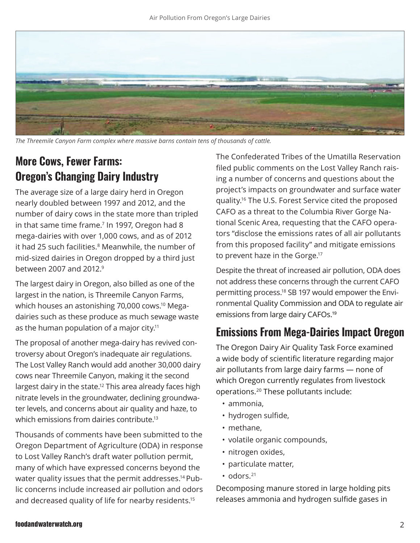

The Threemile Canyon Farm complex where massive barns contain tens of thousands of cattle.

## **More Cows, Fewer Farms: Oregon's Changing Dairy Industry**

The average size of a large dairy herd in Oregon nearly doubled between 1997 and 2012, and the number of dairy cows in the state more than tripled in that same time frame.<sup>7</sup> In 1997, Oregon had 8 mega-dairies with over 1,000 cows, and as of 2012 it had 25 such facilities.<sup>8</sup> Meanwhile, the number of mid-sized dairies in Oregon dropped by a third just between 2007 and 2012.9

The largest dairy in Oregon, also billed as one of the largest in the nation, is Threemile Canyon Farms, which houses an astonishing 70,000 cows.<sup>10</sup> Megadairies such as these produce as much sewage waste as the human population of a major city.<sup>11</sup>

The proposal of another mega-dairy has revived controversy about Oregon's inadequate air regulations. The Lost Valley Ranch would add another 30,000 dairy cows near Threemile Canyon, making it the second largest dairy in the state.<sup>12</sup> This area already faces high nitrate levels in the groundwater, declining groundwater levels, and concerns about air quality and haze, to which emissions from dairies contribute.<sup>13</sup>

Thousands of comments have been submitted to the Oregon Department of Agriculture (ODA) in response to Lost Valley Ranch's draft water pollution permit, many of which have expressed concerns beyond the water quality issues that the permit addresses.<sup>14</sup> Public concerns include increased air pollution and odors and decreased quality of life for nearby residents.15

The Confederated Tribes of the Umatilla Reservation filed public comments on the Lost Valley Ranch raising a number of concerns and questions about the project's impacts on groundwater and surface water quality.<sup>16</sup> The U.S. Forest Service cited the proposed CAFO as a threat to the Columbia River Gorge National Scenic Area, requesting that the CAFO operators "disclose the emissions rates of all air pollutants from this proposed facility" and mitigate emissions to prevent haze in the Gorge.17

Despite the threat of increased air pollution, ODA does not address these concerns through the current CAFO permitting process.18 SB 197 would empower the Environmental Quality Commission and ODA to regulate air emissions from large dairy CAFOs.<sup>19</sup>

#### **Emissions From Mega-Dairies Impact Oregon**

The Oregon Dairy Air Quality Task Force examined a wide body of scientific literature regarding major air pollutants from large dairy farms — none of which Oregon currently regulates from livestock operations.20 These pollutants include:

- ammonia,
- hydrogen sulfide,
- methane,
- volatile organic compounds,
- nitrogen oxides,
- particulate matter,
- odors.<sup>21</sup>

Decomposing manure stored in large holding pits releases ammonia and hydrogen sulfide gases in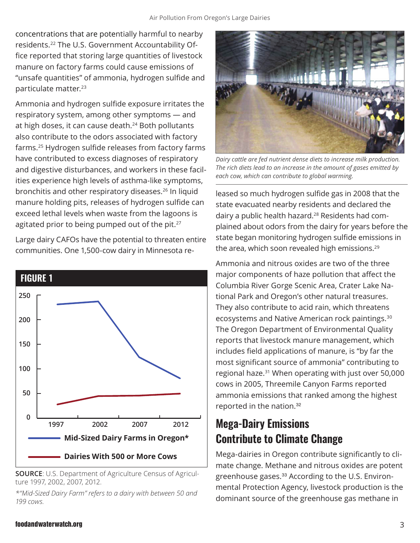concentrations that are potentially harmful to nearby residents.<sup>22</sup> The U.S. Government Accountability Office reported that storing large quantities of livestock manure on factory farms could cause emissions of "unsafe quantities" of ammonia, hydrogen sulfide and particulate matter.<sup>23</sup>

Ammonia and hydrogen sulfide exposure irritates the respiratory system, among other symptoms — and at high doses, it can cause death.<sup>24</sup> Both pollutants also contribute to the odors associated with factory farms.<sup>25</sup> Hydrogen sulfide releases from factory farms have contributed to excess diagnoses of respiratory and digestive disturbances, and workers in these facilities experience high levels of asthma-like symptoms, bronchitis and other respiratory diseases.<sup>26</sup> In liquid manure holding pits, releases of hydrogen sulfide can exceed lethal levels when waste from the lagoons is agitated prior to being pumped out of the pit.<sup>27</sup>

Large dairy CAFOs have the potential to threaten entire communities. One 1,500-cow dairy in Minnesota re-



**SOURCE**: U.S. Department of Agriculture Census of Agriculture 1997, 2002, 2007, 2012.

*\*"Mid-Sized Dairy Farm" refers to a dairy with between 50 and 199 cows.*



*Dairy cattle are fed nutrient dense diets to increase milk production.* The rich diets lead to an increase in the amount of gases emitted by each cow, which can contribute to global warming.

leased so much hydrogen sulfide gas in 2008 that the state evacuated nearby residents and declared the dairy a public health hazard.28 Residents had complained about odors from the dairy for years before the state began monitoring hydrogen sulfide emissions in the area, which soon revealed high emissions.<sup>29</sup>

Ammonia and nitrous oxides are two of the three major components of haze pollution that affect the Columbia River Gorge Scenic Area, Crater Lake National Park and Oregon's other natural treasures. They also contribute to acid rain, which threatens ecosystems and Native American rock paintings.30 The Oregon Department of Environmental Quality reports that livestock manure management, which includes field applications of manure, is "by far the most significant source of ammonia" contributing to regional haze.31 When operating with just over 50,000 cows in 2005, Threemile Canyon Farms reported ammonia emissions that ranked among the highest reported in the nation.<sup>32</sup>

## **Mega-Dairy Emissions Contribute to Climate Change**

Mega-dairies in Oregon contribute significantly to climate change. Methane and nitrous oxides are potent greenhouse gases.<sup>33</sup> According to the U.S. Environmental Protection Agency, livestock production is the dominant source of the greenhouse gas methane in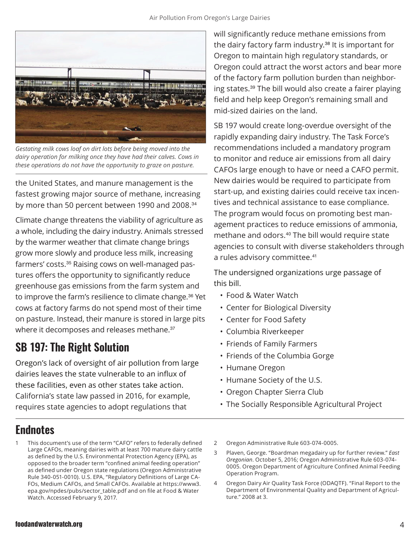

Gestating milk cows loaf on dirt lots before being moved into the dairy operation for milking once they have had their calves. Cows in these operations do not have the opportunity to graze on pasture.

the United States, and manure management is the fastest growing major source of methane, increasing by more than 50 percent between 1990 and 2008.<sup>34</sup>

Climate change threatens the viability of agriculture as a whole, including the dairy industry. Animals stressed by the warmer weather that climate change brings grow more slowly and produce less milk, increasing farmers' costs.<sup>35</sup> Raising cows on well-managed pastures offers the opportunity to significantly reduce greenhouse gas emissions from the farm system and to improve the farm's resilience to climate change.<sup>36</sup> Yet cows at factory farms do not spend most of their time on pasture. Instead, their manure is stored in large pits where it decomposes and releases methane.<sup>37</sup>

## **SB 197: The Right Solution**

Oregon's lack of oversight of air pollution from large dairies leaves the state vulnerable to an influx of these facilities, even as other states take action. California's state law passed in 2016, for example, requires state agencies to adopt regulations that

will significantly reduce methane emissions from the dairy factory farm industry.<sup>38</sup> It is important for Oregon to maintain high regulatory standards, or Oregon could attract the worst actors and bear more of the factory farm pollution burden than neighboring states.<sup>39</sup> The bill would also create a fairer playing field and help keep Oregon's remaining small and mid-sized dairies on the land.

SB 197 would create long-overdue oversight of the rapidly expanding dairy industry. The Task Force's recommendations included a mandatory program to monitor and reduce air emissions from all dairy CAFOs large enough to have or need a CAFO permit. New dairies would be required to participate from start-up, and existing dairies could receive tax incentives and technical assistance to ease compliance. The program would focus on promoting best management practices to reduce emissions of ammonia, methane and odors.40 The bill would require state agencies to consult with diverse stakeholders through a rules advisory committee.<sup>41</sup>

The undersigned organizations urge passage of this bill.

- Food & Water Watch
- Center for Biological Diversity
- Center for Food Safety
- Columbia Riverkeeper
- Friends of Family Farmers
- Friends of the Columbia Gorge
- Humane Oregon
- $\cdot$  Humane Society of the U.S.
- Oregon Chapter Sierra Club
- The Socially Responsible Agricultural Project

## **Endnotes**

- This document's use of the term "CAFO" refers to federally defined Large CAFOs, meaning dairies with at least 700 mature dairy cattle as defined by the U.S. Environmental Protection Agency (EPA), as opposed to the broader term "confined animal feeding operation" as defined under Oregon state regulations (Oregon Administrative Rule 340-051-0010). U.S. EPA, "Regulatory Definitions of Large CA-FOs, Medium CAFOs, and Small CAFOs. Available at https://www3. epa.gov/npdes/pubs/sector\_table.pdf and on file at Food & Water Watch. Accessed February 9, 2017.
- 2 Oregon Administrative Rule 603-074-0005.
- 3 Plaven, George. "Boardman mega dairy up for further review." *East 2UHJRQLDQ*. October 5, 2016; Oregon Administrative Rule 603-074- 0005. Oregon Department of Agriculture Confined Animal Feeding Operation Program.
- Oregon Dairy Air Quality Task Force (ODAQTF). "Final Report to the Department of Environmental Quality and Department of Agriculture." 2008 at 3.